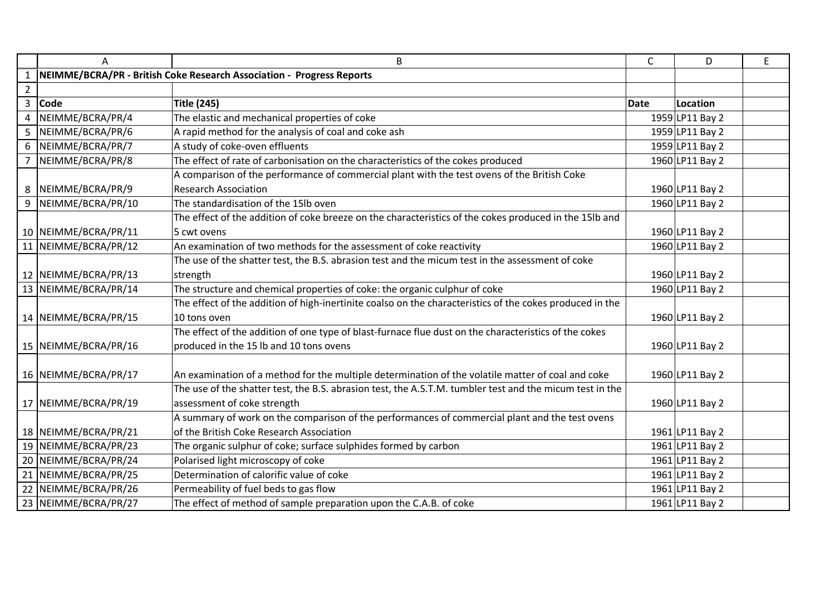|                | A                    | B                                                                                                        | C    | D               | E |
|----------------|----------------------|----------------------------------------------------------------------------------------------------------|------|-----------------|---|
|                |                      | NEIMME/BCRA/PR - British Coke Research Association - Progress Reports                                    |      |                 |   |
| $\overline{2}$ |                      |                                                                                                          |      |                 |   |
| 3              | <b>Code</b>          | <b>Title (245)</b>                                                                                       | Date | Location        |   |
| 4              | NEIMME/BCRA/PR/4     | The elastic and mechanical properties of coke                                                            |      | 1959 LP11 Bay 2 |   |
| 5              | NEIMME/BCRA/PR/6     | A rapid method for the analysis of coal and coke ash                                                     |      | 1959 LP11 Bay 2 |   |
| 6              | NEIMME/BCRA/PR/7     | A study of coke-oven effluents                                                                           |      | 1959 LP11 Bay 2 |   |
|                | NEIMME/BCRA/PR/8     | The effect of rate of carbonisation on the characteristics of the cokes produced                         |      | 1960 LP11 Bay 2 |   |
|                |                      | A comparison of the performance of commercial plant with the test ovens of the British Coke              |      |                 |   |
|                | 8 NEIMME/BCRA/PR/9   | <b>Research Association</b>                                                                              |      | 1960 LP11 Bay 2 |   |
| 9              | NEIMME/BCRA/PR/10    | The standardisation of the 15lb oven                                                                     |      | 1960 LP11 Bay 2 |   |
|                |                      | The effect of the addition of coke breeze on the characteristics of the cokes produced in the 15lb and   |      |                 |   |
|                | 10 NEIMME/BCRA/PR/11 | 5 cwt ovens                                                                                              |      | 1960 LP11 Bay 2 |   |
|                | 11 NEIMME/BCRA/PR/12 | An examination of two methods for the assessment of coke reactivity                                      |      | 1960 LP11 Bay 2 |   |
|                |                      | The use of the shatter test, the B.S. abrasion test and the micum test in the assessment of coke         |      |                 |   |
|                | 12 NEIMME/BCRA/PR/13 | strength                                                                                                 |      | 1960 LP11 Bay 2 |   |
|                | 13 NEIMME/BCRA/PR/14 | The structure and chemical properties of coke: the organic culphur of coke                               |      | 1960 LP11 Bay 2 |   |
|                |                      | The effect of the addition of high-inertinite coalso on the characteristics of the cokes produced in the |      |                 |   |
|                | 14 NEIMME/BCRA/PR/15 | 10 tons oven                                                                                             |      | 1960 LP11 Bay 2 |   |
|                |                      | The effect of the addition of one type of blast-furnace flue dust on the characteristics of the cokes    |      |                 |   |
|                | 15 NEIMME/BCRA/PR/16 | produced in the 15 lb and 10 tons ovens                                                                  |      | 1960 LP11 Bay 2 |   |
|                | 16 NEIMME/BCRA/PR/17 | An examination of a method for the multiple determination of the volatile matter of coal and coke        |      | 1960 LP11 Bay 2 |   |
|                |                      | The use of the shatter test, the B.S. abrasion test, the A.S.T.M. tumbler test and the micum test in the |      |                 |   |
|                | 17 NEIMME/BCRA/PR/19 | assessment of coke strength                                                                              |      | 1960 LP11 Bay 2 |   |
|                |                      | A summary of work on the comparison of the performances of commercial plant and the test ovens           |      |                 |   |
|                | 18 NEIMME/BCRA/PR/21 | of the British Coke Research Association                                                                 |      | 1961 LP11 Bay 2 |   |
|                | 19 NEIMME/BCRA/PR/23 | The organic sulphur of coke; surface sulphides formed by carbon                                          |      | 1961 LP11 Bay 2 |   |
|                | 20 NEIMME/BCRA/PR/24 | Polarised light microscopy of coke                                                                       |      | 1961 LP11 Bay 2 |   |
|                | 21 NEIMME/BCRA/PR/25 | Determination of calorific value of coke                                                                 |      | 1961 LP11 Bay 2 |   |
|                | 22 NEIMME/BCRA/PR/26 | Permeability of fuel beds to gas flow                                                                    |      | 1961 LP11 Bay 2 |   |
|                | 23 NEIMME/BCRA/PR/27 | The effect of method of sample preparation upon the C.A.B. of coke                                       |      | 1961 LP11 Bay 2 |   |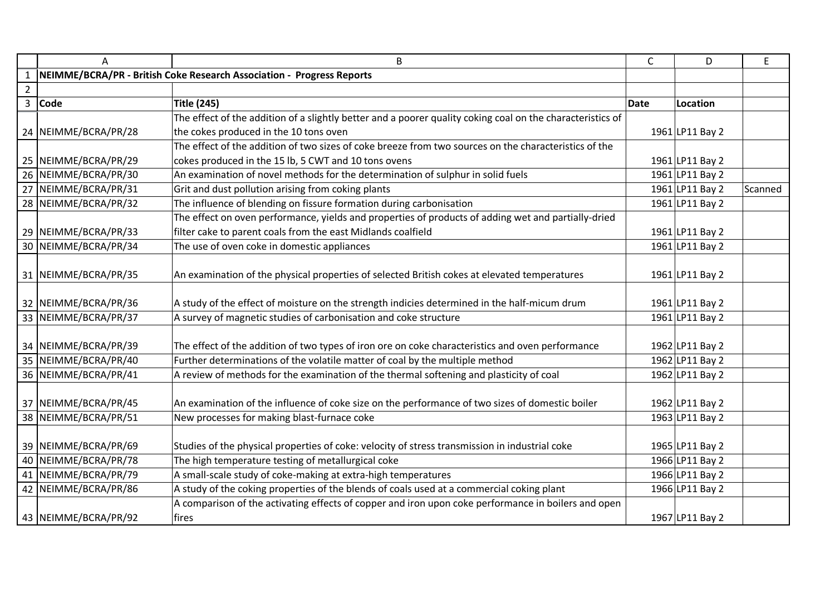|                | A                                                                     | B                                                                                                          | C           | D               | E       |
|----------------|-----------------------------------------------------------------------|------------------------------------------------------------------------------------------------------------|-------------|-----------------|---------|
|                | NEIMME/BCRA/PR - British Coke Research Association - Progress Reports |                                                                                                            |             |                 |         |
| $\overline{2}$ |                                                                       |                                                                                                            |             |                 |         |
| $\mathbf{3}$   | <b>Code</b>                                                           | <b>Title (245)</b>                                                                                         | <b>Date</b> | Location        |         |
|                |                                                                       | The effect of the addition of a slightly better and a poorer quality coking coal on the characteristics of |             |                 |         |
|                | 24 NEIMME/BCRA/PR/28                                                  | the cokes produced in the 10 tons oven                                                                     |             | 1961 LP11 Bay 2 |         |
|                |                                                                       | The effect of the addition of two sizes of coke breeze from two sources on the characteristics of the      |             |                 |         |
|                | 25 NEIMME/BCRA/PR/29                                                  | cokes produced in the 15 lb, 5 CWT and 10 tons ovens                                                       |             | 1961 LP11 Bay 2 |         |
|                | 26 NEIMME/BCRA/PR/30                                                  | An examination of novel methods for the determination of sulphur in solid fuels                            |             | 1961 LP11 Bay 2 |         |
|                | 27 NEIMME/BCRA/PR/31                                                  | Grit and dust pollution arising from coking plants                                                         |             | 1961 LP11 Bay 2 | Scanned |
|                | 28 NEIMME/BCRA/PR/32                                                  | The influence of blending on fissure formation during carbonisation                                        |             | 1961 LP11 Bay 2 |         |
|                |                                                                       | The effect on oven performance, yields and properties of products of adding wet and partially-dried        |             |                 |         |
|                | 29 NEIMME/BCRA/PR/33                                                  | filter cake to parent coals from the east Midlands coalfield                                               |             | 1961 LP11 Bay 2 |         |
|                | 30 NEIMME/BCRA/PR/34                                                  | The use of oven coke in domestic appliances                                                                |             | 1961 LP11 Bay 2 |         |
|                |                                                                       |                                                                                                            |             |                 |         |
|                | 31 NEIMME/BCRA/PR/35                                                  | An examination of the physical properties of selected British cokes at elevated temperatures               |             | 1961 LP11 Bay 2 |         |
|                |                                                                       |                                                                                                            |             |                 |         |
|                | 32 NEIMME/BCRA/PR/36                                                  | A study of the effect of moisture on the strength indicies determined in the half-micum drum               |             | 1961 LP11 Bay 2 |         |
|                | 33 NEIMME/BCRA/PR/37                                                  | A survey of magnetic studies of carbonisation and coke structure                                           |             | 1961 LP11 Bay 2 |         |
|                |                                                                       |                                                                                                            |             |                 |         |
|                | 34 NEIMME/BCRA/PR/39                                                  | The effect of the addition of two types of iron ore on coke characteristics and oven performance           |             | 1962 LP11 Bay 2 |         |
|                | 35 NEIMME/BCRA/PR/40                                                  | Further determinations of the volatile matter of coal by the multiple method                               |             | 1962 LP11 Bay 2 |         |
|                | 36 NEIMME/BCRA/PR/41                                                  | A review of methods for the examination of the thermal softening and plasticity of coal                    |             | 1962 LP11 Bay 2 |         |
|                |                                                                       |                                                                                                            |             |                 |         |
|                | 37 NEIMME/BCRA/PR/45                                                  | An examination of the influence of coke size on the performance of two sizes of domestic boiler            |             | 1962 LP11 Bay 2 |         |
|                | 38 NEIMME/BCRA/PR/51                                                  | New processes for making blast-furnace coke                                                                |             | 1963 LP11 Bay 2 |         |
|                |                                                                       |                                                                                                            |             |                 |         |
|                | 39 NEIMME/BCRA/PR/69                                                  | Studies of the physical properties of coke: velocity of stress transmission in industrial coke             |             | 1965 LP11 Bay 2 |         |
|                | 40 NEIMME/BCRA/PR/78                                                  | The high temperature testing of metallurgical coke                                                         |             | 1966 LP11 Bay 2 |         |
|                | 41 NEIMME/BCRA/PR/79                                                  | A small-scale study of coke-making at extra-high temperatures                                              |             | 1966 LP11 Bay 2 |         |
|                | 42 NEIMME/BCRA/PR/86                                                  | A study of the coking properties of the blends of coals used at a commercial coking plant                  |             | 1966 LP11 Bay 2 |         |
|                |                                                                       | A comparison of the activating effects of copper and iron upon coke performance in boilers and open        |             |                 |         |
|                | 43 NEIMME/BCRA/PR/92                                                  | fires                                                                                                      |             | 1967 LP11 Bay 2 |         |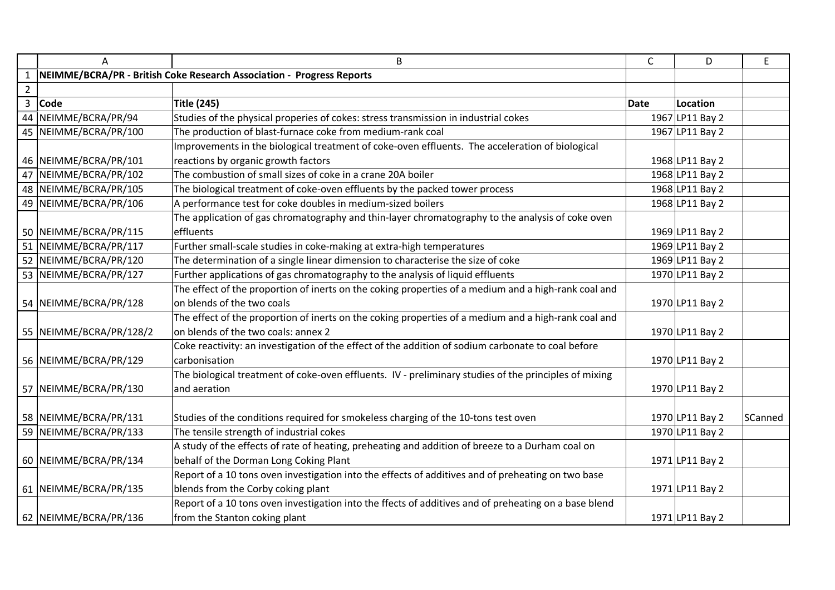|                | A                       | B                                                                                                     | $\mathsf{C}$ | D               | E       |
|----------------|-------------------------|-------------------------------------------------------------------------------------------------------|--------------|-----------------|---------|
|                |                         | NEIMME/BCRA/PR - British Coke Research Association - Progress Reports                                 |              |                 |         |
| $\overline{2}$ |                         |                                                                                                       |              |                 |         |
| $\overline{3}$ | <b>Code</b>             | <b>Title (245)</b>                                                                                    | <b>Date</b>  | Location        |         |
|                | 44 NEIMME/BCRA/PR/94    | Studies of the physical properies of cokes: stress transmission in industrial cokes                   |              | 1967 LP11 Bay 2 |         |
|                | 45 NEIMME/BCRA/PR/100   | The production of blast-furnace coke from medium-rank coal                                            |              | 1967 LP11 Bay 2 |         |
|                |                         | Improvements in the biological treatment of coke-oven effluents. The acceleration of biological       |              |                 |         |
|                | 46 NEIMME/BCRA/PR/101   | reactions by organic growth factors                                                                   |              | 1968 LP11 Bay 2 |         |
|                | 47 NEIMME/BCRA/PR/102   | The combustion of small sizes of coke in a crane 20A boiler                                           |              | 1968 LP11 Bay 2 |         |
|                | 48 NEIMME/BCRA/PR/105   | The biological treatment of coke-oven effluents by the packed tower process                           |              | 1968 LP11 Bay 2 |         |
|                | 49   NEIMME/BCRA/PR/106 | A performance test for coke doubles in medium-sized boilers                                           |              | 1968 LP11 Bay 2 |         |
|                |                         | The application of gas chromatography and thin-layer chromatography to the analysis of coke oven      |              |                 |         |
|                | 50 NEIMME/BCRA/PR/115   | effluents                                                                                             |              | 1969 LP11 Bay 2 |         |
|                | 51 NEIMME/BCRA/PR/117   | Further small-scale studies in coke-making at extra-high temperatures                                 |              | 1969 LP11 Bay 2 |         |
|                | 52 NEIMME/BCRA/PR/120   | The determination of a single linear dimension to characterise the size of coke                       |              | 1969 LP11 Bay 2 |         |
|                | 53 NEIMME/BCRA/PR/127   | Further applications of gas chromatography to the analysis of liquid effluents                        |              | 1970 LP11 Bay 2 |         |
|                |                         | The effect of the proportion of inerts on the coking properties of a medium and a high-rank coal and  |              |                 |         |
|                | 54 NEIMME/BCRA/PR/128   | on blends of the two coals                                                                            |              | 1970 LP11 Bay 2 |         |
|                |                         | The effect of the proportion of inerts on the coking properties of a medium and a high-rank coal and  |              |                 |         |
|                | 55 NEIMME/BCRA/PR/128/2 | on blends of the two coals: annex 2                                                                   |              | 1970 LP11 Bay 2 |         |
|                |                         | Coke reactivity: an investigation of the effect of the addition of sodium carbonate to coal before    |              |                 |         |
|                | 56 NEIMME/BCRA/PR/129   | carbonisation                                                                                         |              | 1970 LP11 Bay 2 |         |
|                |                         | The biological treatment of coke-oven effluents. IV - preliminary studies of the principles of mixing |              |                 |         |
|                | 57 NEIMME/BCRA/PR/130   | and aeration                                                                                          |              | 1970 LP11 Bay 2 |         |
|                |                         |                                                                                                       |              |                 |         |
|                | 58 NEIMME/BCRA/PR/131   | Studies of the conditions required for smokeless charging of the 10-tons test oven                    |              | 1970 LP11 Bay 2 | SCanned |
|                | 59 NEIMME/BCRA/PR/133   | The tensile strength of industrial cokes                                                              |              | 1970 LP11 Bay 2 |         |
|                |                         | A study of the effects of rate of heating, preheating and addition of breeze to a Durham coal on      |              |                 |         |
|                | 60 NEIMME/BCRA/PR/134   | behalf of the Dorman Long Coking Plant                                                                |              | 1971 LP11 Bay 2 |         |
|                |                         | Report of a 10 tons oven investigation into the effects of additives and of preheating on two base    |              |                 |         |
|                | 61 NEIMME/BCRA/PR/135   | blends from the Corby coking plant                                                                    |              | 1971 LP11 Bay 2 |         |
|                |                         | Report of a 10 tons oven investigation into the ffects of additives and of preheating on a base blend |              |                 |         |
|                | 62 NEIMME/BCRA/PR/136   | from the Stanton coking plant                                                                         |              | 1971 LP11 Bay 2 |         |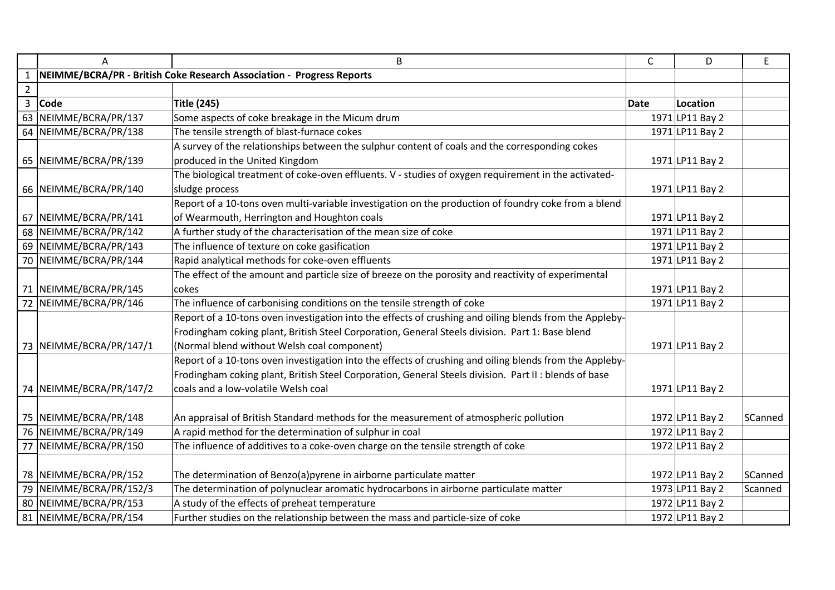|                | A                       | B                                                                                                       | C           | D               | E       |
|----------------|-------------------------|---------------------------------------------------------------------------------------------------------|-------------|-----------------|---------|
|                |                         | NEIMME/BCRA/PR - British Coke Research Association - Progress Reports                                   |             |                 |         |
| $\overline{2}$ |                         |                                                                                                         |             |                 |         |
| $\mathbf{3}$   | Code                    | <b>Title (245)</b>                                                                                      | <b>Date</b> | Location        |         |
| 63             | NEIMME/BCRA/PR/137      | Some aspects of coke breakage in the Micum drum                                                         |             | 1971 LP11 Bay 2 |         |
|                | 64 NEIMME/BCRA/PR/138   | The tensile strength of blast-furnace cokes                                                             |             | 1971 LP11 Bay 2 |         |
|                |                         | A survey of the relationships between the sulphur content of coals and the corresponding cokes          |             |                 |         |
|                | 65 NEIMME/BCRA/PR/139   | produced in the United Kingdom                                                                          |             | 1971 LP11 Bay 2 |         |
|                |                         | The biological treatment of coke-oven effluents. V - studies of oxygen requirement in the activated-    |             |                 |         |
|                | 66 NEIMME/BCRA/PR/140   | sludge process                                                                                          |             | 1971 LP11 Bay 2 |         |
|                |                         | Report of a 10-tons oven multi-variable investigation on the production of foundry coke from a blend    |             |                 |         |
|                | 67 NEIMME/BCRA/PR/141   | of Wearmouth, Herrington and Houghton coals                                                             |             | 1971 LP11 Bay 2 |         |
|                | 68 NEIMME/BCRA/PR/142   | A further study of the characterisation of the mean size of coke                                        |             | 1971 LP11 Bay 2 |         |
|                | 69 NEIMME/BCRA/PR/143   | The influence of texture on coke gasification                                                           |             | 1971 LP11 Bay 2 |         |
|                | 70 NEIMME/BCRA/PR/144   | Rapid analytical methods for coke-oven effluents                                                        |             | 1971 LP11 Bay 2 |         |
|                |                         | The effect of the amount and particle size of breeze on the porosity and reactivity of experimental     |             |                 |         |
|                | 71 NEIMME/BCRA/PR/145   | cokes                                                                                                   |             | 1971 LP11 Bay 2 |         |
|                | 72 NEIMME/BCRA/PR/146   | The influence of carbonising conditions on the tensile strength of coke                                 |             | 1971 LP11 Bay 2 |         |
|                |                         | Report of a 10-tons oven investigation into the effects of crushing and oiling blends from the Appleby- |             |                 |         |
|                |                         | Frodingham coking plant, British Steel Corporation, General Steels division. Part 1: Base blend         |             |                 |         |
|                | 73 NEIMME/BCRA/PR/147/1 | (Normal blend without Welsh coal component)                                                             |             | 1971 LP11 Bay 2 |         |
|                |                         | Report of a 10-tons oven investigation into the effects of crushing and oiling blends from the Appleby- |             |                 |         |
|                |                         | Frodingham coking plant, British Steel Corporation, General Steels division. Part II : blends of base   |             |                 |         |
|                | 74 NEIMME/BCRA/PR/147/2 | coals and a low-volatile Welsh coal                                                                     |             | 1971 LP11 Bay 2 |         |
|                |                         |                                                                                                         |             |                 |         |
|                | 75 NEIMME/BCRA/PR/148   | An appraisal of British Standard methods for the measurement of atmospheric pollution                   |             | 1972 LP11 Bay 2 | SCanned |
|                | 76 NEIMME/BCRA/PR/149   | A rapid method for the determination of sulphur in coal                                                 |             | 1972 LP11 Bay 2 |         |
| 77             | NEIMME/BCRA/PR/150      | The influence of additives to a coke-oven charge on the tensile strength of coke                        |             | 1972 LP11 Bay 2 |         |
|                |                         |                                                                                                         |             |                 |         |
|                | 78 NEIMME/BCRA/PR/152   | The determination of Benzo(a)pyrene in airborne particulate matter                                      |             | 1972 LP11 Bay 2 | SCanned |
|                | 79 NEIMME/BCRA/PR/152/3 | The determination of polynuclear aromatic hydrocarbons in airborne particulate matter                   |             | 1973 LP11 Bay 2 | Scanned |
|                | 80 NEIMME/BCRA/PR/153   | A study of the effects of preheat temperature                                                           |             | 1972 LP11 Bay 2 |         |
|                | 81 NEIMME/BCRA/PR/154   | Further studies on the relationship between the mass and particle-size of coke                          |             | 1972 LP11 Bay 2 |         |